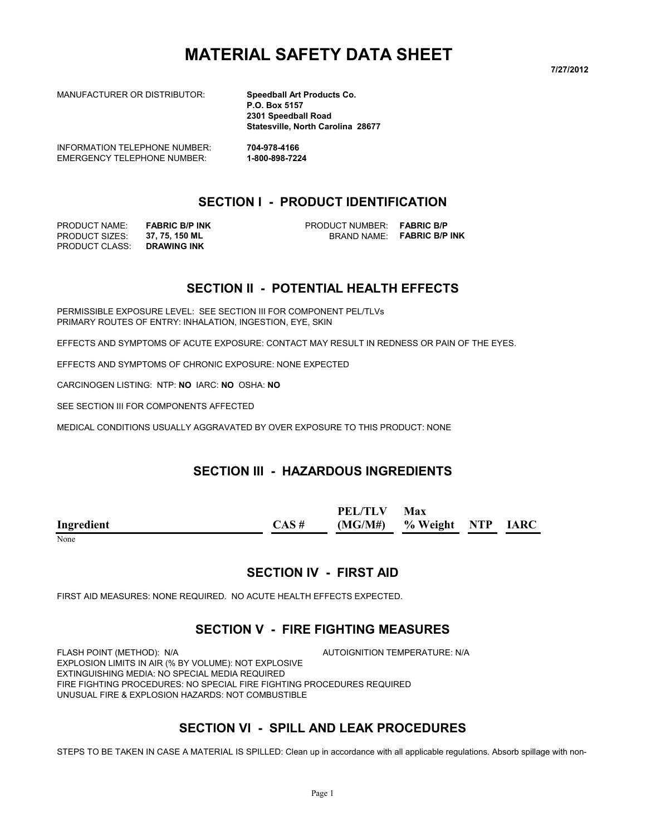# **MATERIAL SAFETY DATA SHEET**

**7/27/2012**

MANUFACTURER OR DISTRIBUTOR: **Speedball Art Products Co.**

**P.O. Box 5157 2301 Speedball Road Statesville, North Carolina 28677**

INFORMATION TELEPHONE NUMBER: **704-978-4166** EMERGENCY TELEPHONE NUMBER: **1-800-898-7224**

# **SECTION I - PRODUCT IDENTIFICATION**

PRODUCT CLASS: **DRAWING INK**

PRODUCT NAME: **FABRIC B/P INK** PRODUCT NUMBER: **FABRIC B/P** PRODUCT SIZES: **37, 75, 150 ML** BRAND NAME: **FABRIC B/P INK**

### **SECTION II - POTENTIAL HEALTH EFFECTS**

PERMISSIBLE EXPOSURE LEVEL: SEE SECTION III FOR COMPONENT PEL/TLVs PRIMARY ROUTES OF ENTRY: INHALATION, INGESTION, EYE, SKIN

EFFECTS AND SYMPTOMS OF ACUTE EXPOSURE: CONTACT MAY RESULT IN REDNESS OR PAIN OF THE EYES.

EFFECTS AND SYMPTOMS OF CHRONIC EXPOSURE: NONE EXPECTED

CARCINOGEN LISTING: NTP: **NO** IARC: **NO** OSHA: **NO**

SEE SECTION III FOR COMPONENTS AFFECTED

MEDICAL CONDITIONS USUALLY AGGRAVATED BY OVER EXPOSURE TO THIS PRODUCT: NONE

#### **SECTION III - HAZARDOUS INGREDIENTS**

|            |          | <b>PEL/TLV</b> | Max                         |  |
|------------|----------|----------------|-----------------------------|--|
| Ingredient | $CAS \#$ |                | $(MG/M#)$ % Weight NTP IARC |  |
| None       |          |                |                             |  |

#### **SECTION IV - FIRST AID**

FIRST AID MEASURES: NONE REQUIRED. NO ACUTE HEALTH EFFECTS EXPECTED.

#### **SECTION V - FIRE FIGHTING MEASURES**

FLASH POINT (METHOD): N/A **AUTOIGNITION TEMPERATURE: N/A** EXPLOSION LIMITS IN AIR (% BY VOLUME): NOT EXPLOSIVE EXTINGUISHING MEDIA: NO SPECIAL MEDIA REQUIRED FIRE FIGHTING PROCEDURES: NO SPECIAL FIRE FIGHTING PROCEDURES REQUIRED UNUSUAL FIRE & EXPLOSION HAZARDS: NOT COMBUSTIBLE

### **SECTION VI - SPILL AND LEAK PROCEDURES**

STEPS TO BE TAKEN IN CASE A MATERIAL IS SPILLED: Clean up in accordance with all applicable regulations. Absorb spillage with non-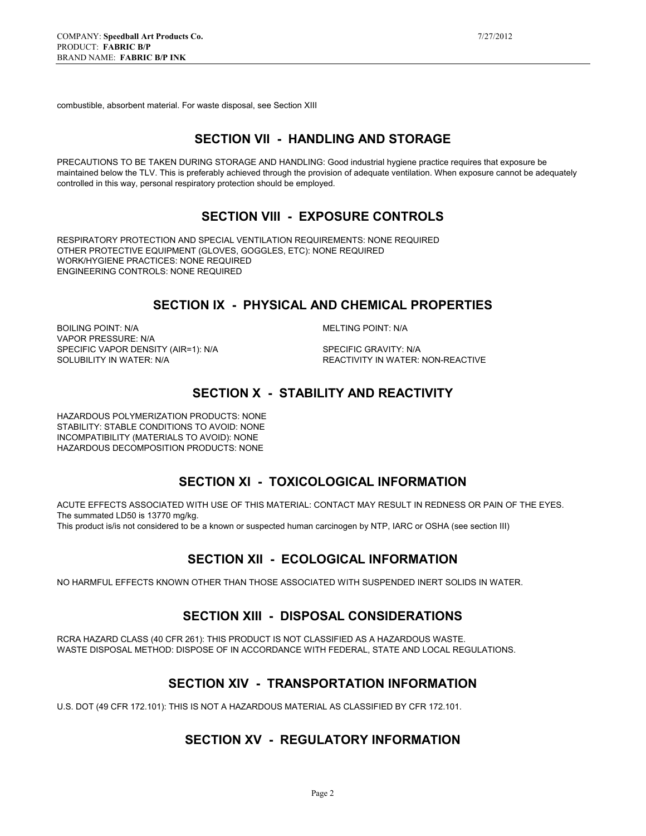combustible, absorbent material. For waste disposal, see Section XIII

### **SECTION VII - HANDLING AND STORAGE**

PRECAUTIONS TO BE TAKEN DURING STORAGE AND HANDLING: Good industrial hygiene practice requires that exposure be maintained below the TLV. This is preferably achieved through the provision of adequate ventilation. When exposure cannot be adequately controlled in this way, personal respiratory protection should be employed.

#### **SECTION VIII - EXPOSURE CONTROLS**

RESPIRATORY PROTECTION AND SPECIAL VENTILATION REQUIREMENTS: NONE REQUIRED OTHER PROTECTIVE EQUIPMENT (GLOVES, GOGGLES, ETC): NONE REQUIRED WORK/HYGIENE PRACTICES: NONE REQUIRED ENGINEERING CONTROLS: NONE REQUIRED

### **SECTION IX - PHYSICAL AND CHEMICAL PROPERTIES**

BOILING POINT: N/A MELTING POINT: N/A VAPOR PRESSURE: N/A SPECIFIC VAPOR DENSITY (AIR=1): N/A SPECIFIC GRAVITY: N/A SOLUBILITY IN WATER: SPECIFIC GRAVITY: N/A

REACTIVITY IN WATER: NON-REACTIVE

#### **SECTION X - STABILITY AND REACTIVITY**

HAZARDOUS POLYMERIZATION PRODUCTS: NONE STABILITY: STABLE CONDITIONS TO AVOID: NONE INCOMPATIBILITY (MATERIALS TO AVOID): NONE HAZARDOUS DECOMPOSITION PRODUCTS: NONE

#### **SECTION XI - TOXICOLOGICAL INFORMATION**

ACUTE EFFECTS ASSOCIATED WITH USE OF THIS MATERIAL: CONTACT MAY RESULT IN REDNESS OR PAIN OF THE EYES. The summated LD50 is 13770 mg/kg.

This product is/is not considered to be a known or suspected human carcinogen by NTP, IARC or OSHA (see section III)

### **SECTION XII - ECOLOGICAL INFORMATION**

NO HARMFUL EFFECTS KNOWN OTHER THAN THOSE ASSOCIATED WITH SUSPENDED INERT SOLIDS IN WATER.

### **SECTION XIII - DISPOSAL CONSIDERATIONS**

RCRA HAZARD CLASS (40 CFR 261): THIS PRODUCT IS NOT CLASSIFIED AS A HAZARDOUS WASTE. WASTE DISPOSAL METHOD: DISPOSE OF IN ACCORDANCE WITH FEDERAL, STATE AND LOCAL REGULATIONS.

### **SECTION XIV - TRANSPORTATION INFORMATION**

U.S. DOT (49 CFR 172.101): THIS IS NOT A HAZARDOUS MATERIAL AS CLASSIFIED BY CFR 172.101.

### **SECTION XV - REGULATORY INFORMATION**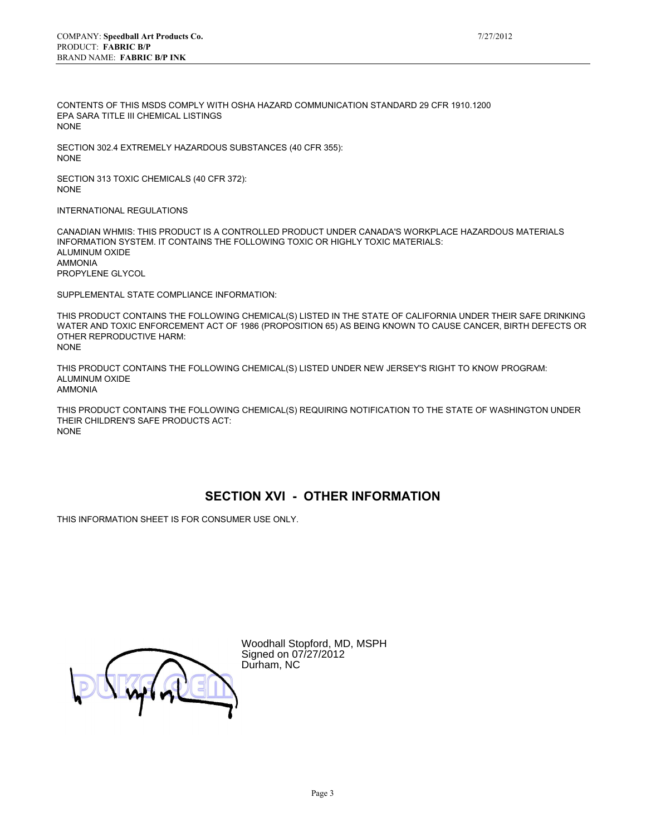CONTENTS OF THIS MSDS COMPLY WITH OSHA HAZARD COMMUNICATION STANDARD 29 CFR 1910.1200 EPA SARA TITLE III CHEMICAL LISTINGS NONE

SECTION 302.4 EXTREMELY HAZARDOUS SUBSTANCES (40 CFR 355): NONE

SECTION 313 TOXIC CHEMICALS (40 CFR 372): NONE

INTERNATIONAL REGULATIONS

CANADIAN WHMIS: THIS PRODUCT IS A CONTROLLED PRODUCT UNDER CANADA'S WORKPLACE HAZARDOUS MATERIALS INFORMATION SYSTEM. IT CONTAINS THE FOLLOWING TOXIC OR HIGHLY TOXIC MATERIALS: ALUMINUM OXIDE AMMONIA PROPYLENE GLYCOL

SUPPLEMENTAL STATE COMPLIANCE INFORMATION:

THIS PRODUCT CONTAINS THE FOLLOWING CHEMICAL(S) LISTED IN THE STATE OF CALIFORNIA UNDER THEIR SAFE DRINKING WATER AND TOXIC ENFORCEMENT ACT OF 1986 (PROPOSITION 65) AS BEING KNOWN TO CAUSE CANCER, BIRTH DEFECTS OR OTHER REPRODUCTIVE HARM: NONE

THIS PRODUCT CONTAINS THE FOLLOWING CHEMICAL(S) LISTED UNDER NEW JERSEY'S RIGHT TO KNOW PROGRAM: ALUMINUM OXIDE AMMONIA

THIS PRODUCT CONTAINS THE FOLLOWING CHEMICAL(S) REQUIRING NOTIFICATION TO THE STATE OF WASHINGTON UNDER THEIR CHILDREN'S SAFE PRODUCTS ACT: NONE

### **SECTION XVI - OTHER INFORMATION**

THIS INFORMATION SHEET IS FOR CONSUMER USE ONLY.

Woodhall Stopford, MD, MSPH Signed on 07/27/2012 Durham, NC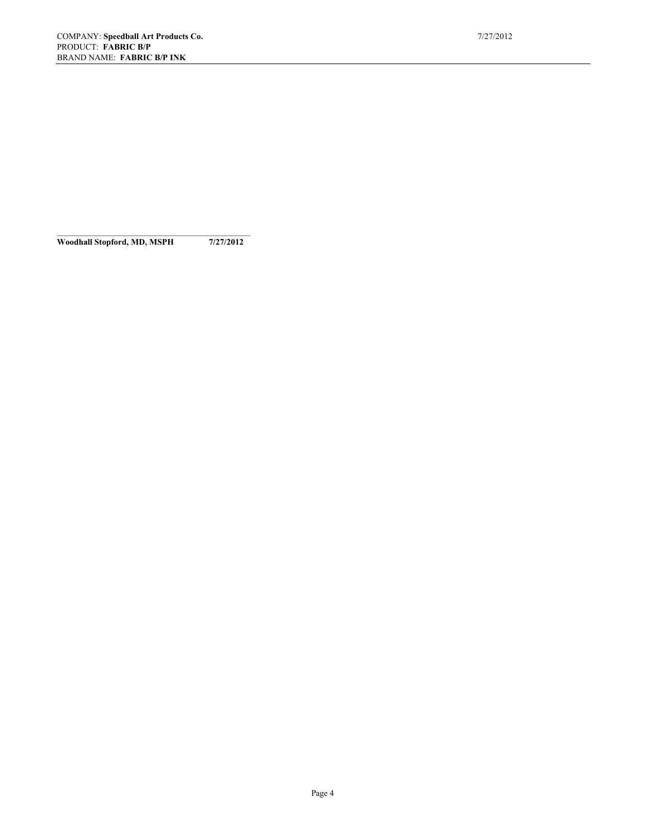**Woodhall Stopford, MD, MSPH 7/27/2012**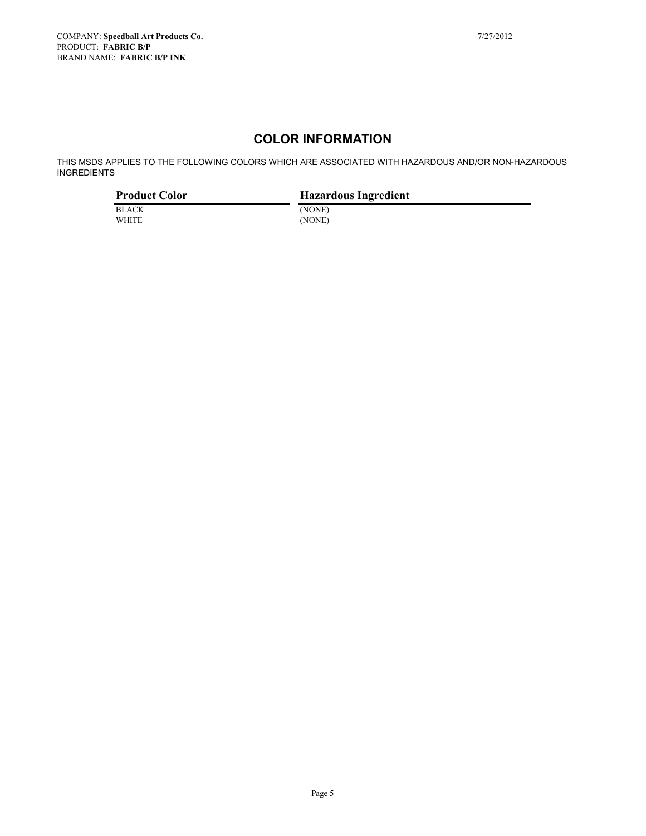# **COLOR INFORMATION**

THIS MSDS APPLIES TO THE FOLLOWING COLORS WHICH ARE ASSOCIATED WITH HAZARDOUS AND/OR NON-HAZARDOUS INGREDIENTS

| <b>Product Color</b> | <b>Hazardous Ingredient</b> |
|----------------------|-----------------------------|
| <b>BLACK</b>         | (NONE)                      |
| <b>WHITE</b>         | (NONE)                      |